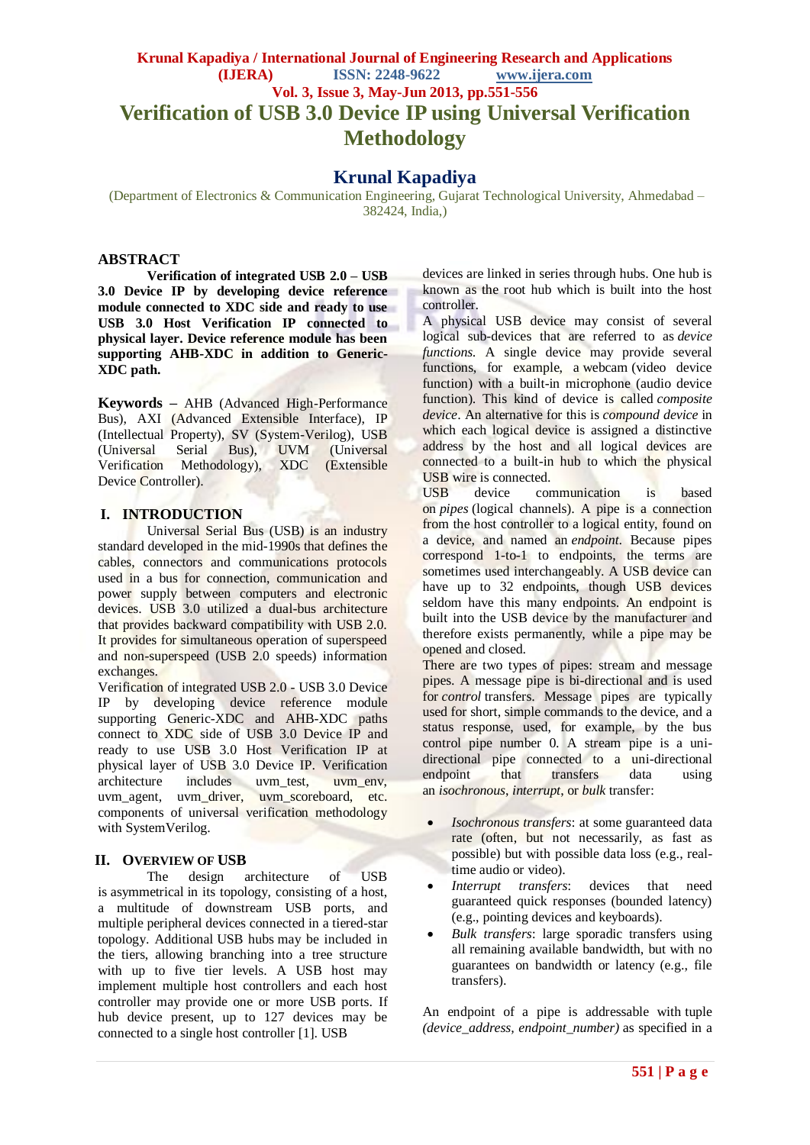# **Krunal Kapadiya / International Journal of Engineering Research and Applications (IJERA) ISSN: 2248-9622 www.ijera.com Vol. 3, Issue 3, May-Jun 2013, pp.551-556 Verification of USB 3.0 Device IP using Universal Verification Methodology**

## **Krunal Kapadiya**

(Department of Electronics & Communication Engineering, Gujarat Technological University, Ahmedabad – 382424, India,)

#### **ABSTRACT**

**Verification of integrated USB 2.0 – USB 3.0 Device IP by developing device reference module connected to XDC side and ready to use USB 3.0 Host Verification IP connected to physical layer. Device reference module has been supporting AHB-XDC in addition to Generic-XDC path.**

**Keywords –** AHB (Advanced High-Performance Bus), AXI (Advanced Extensible Interface), IP (Intellectual Property), SV (System-Verilog), USB (Universal Serial Bus), UVM (Universal<br>Verification Methodology), XDC (Extensible Methodology), XDC (Extensible Device Controller).

### **I. INTRODUCTION**

Universal Serial Bus (USB) is an industry standard developed in the mid-1990s that defines the cables, connectors and communications protocols used in a bus for connection, communication and power supply between computers and electronic devices. USB 3.0 utilized a dual-bus architecture that provides backward compatibility with USB 2.0. It provides for simultaneous operation of superspeed and non-superspeed (USB 2.0 speeds) information exchanges.

Verification of integrated USB 2.0 - USB 3.0 Device IP by developing device reference module supporting Generic-XDC and AHB-XDC paths connect to XDC side of USB 3.0 Device IP and ready to use USB 3.0 Host Verification IP at physical layer of USB 3.0 Device IP. Verification<br>architecture includes uvm\_test, uvm\_env, includes uvm\_test, uvm agent, uvm driver, uvm scoreboard, etc. components of universal verification methodology with SystemVerilog.

### **II. OVERVIEW OF USB**

The design architecture of USB is asymmetrical in its topology, consisting of a host, a multitude of downstream USB ports, and multiple peripheral devices connected in a tiered-star topology. Additional USB hubs may be included in the tiers, allowing branching into a tree structure with up to five tier levels. A USB host may implement multiple host controllers and each host controller may provide one or more USB ports. If hub device present, up to 127 devices may be connected to a single host controller [1]. USB

devices are linked in series through hubs. One hub is known as the root hub which is built into the host controller.

A physical USB device may consist of several logical sub-devices that are referred to as *device functions*. A single device may provide several functions, for example, a webcam (video device function) with a built-in microphone (audio device function). This kind of device is called *composite device*. An alternative for this is *compound device* in which each logical device is assigned a distinctive address by the host and all logical devices are connected to a built-in hub to which the physical USB wire is connected.

USB device communication is based on *pipes* (logical channels). A pipe is a connection from the host controller to a logical entity, found on a device, and named an *endpoint*. Because pipes correspond 1-to-1 to endpoints, the terms are sometimes used interchangeably. A USB device can have up to 32 endpoints, though USB devices seldom have this many endpoints. An endpoint is built into the USB device by the manufacturer and therefore exists permanently, while a pipe may be opened and closed.

There are two types of pipes: stream and message pipes. A message pipe is bi-directional and is used for *control* transfers. Message pipes are typically used for short, simple commands to the device, and a status response, used, for example, by the bus control pipe number 0. A stream pipe is a unidirectional pipe connected to a uni-directional endpoint that transfers data using an *isochronous*, *interrupt*, or *bulk* transfer:

- *Isochronous transfers*: at some guaranteed data rate (often, but not necessarily, as fast as possible) but with possible data loss (e.g., realtime audio or video).
- *Interrupt transfers*: devices that need guaranteed quick responses (bounded latency) (e.g., pointing devices and keyboards).
- *Bulk transfers*: large sporadic transfers using all remaining available bandwidth, but with no guarantees on bandwidth or latency (e.g., file transfers).

An endpoint of a pipe is addressable with tuple *(device\_address, endpoint\_number)* as specified in a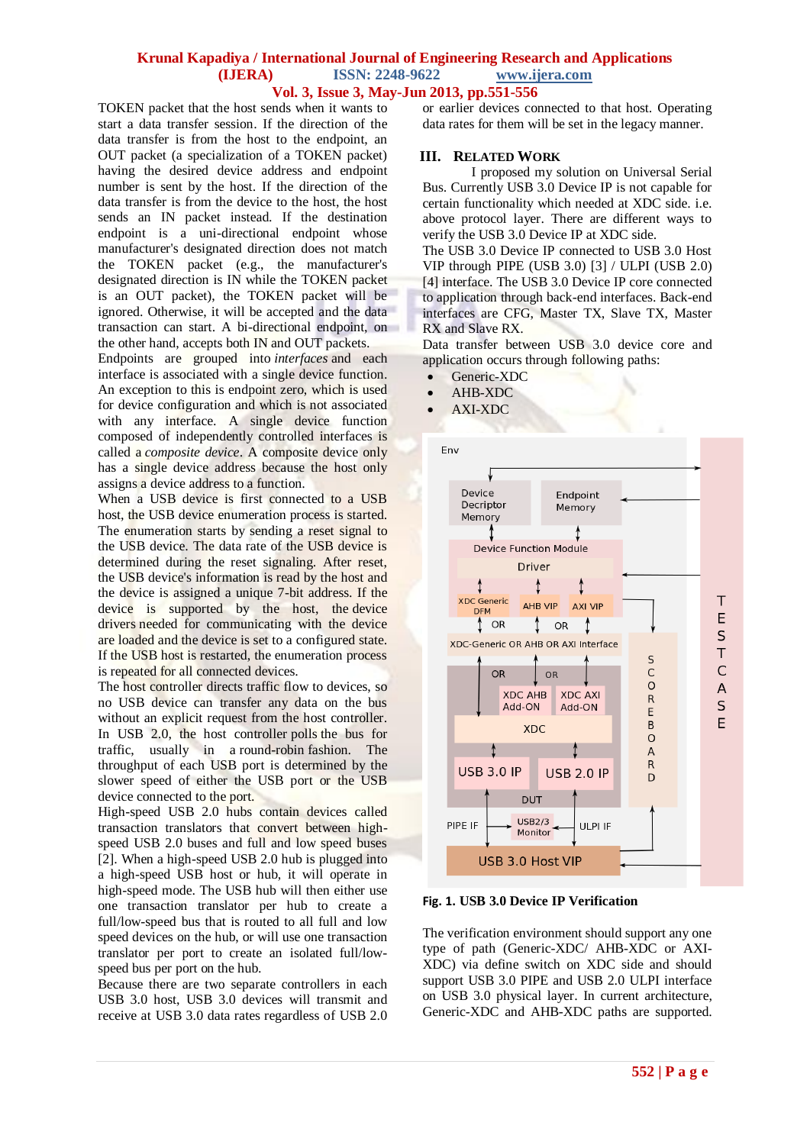#### **Vol. 3, Issue 3, May-Jun 2013, pp.551-556**

TOKEN packet that the host sends when it wants to start a data transfer session. If the direction of the data transfer is from the host to the endpoint, an OUT packet (a specialization of a TOKEN packet) having the desired device address and endpoint number is sent by the host. If the direction of the data transfer is from the device to the host, the host sends an IN packet instead. If the destination endpoint is a uni-directional endpoint whose manufacturer's designated direction does not match the TOKEN packet (e.g., the manufacturer's designated direction is IN while the TOKEN packet is an OUT packet), the TOKEN packet will be ignored. Otherwise, it will be accepted and the data transaction can start. A bi-directional endpoint, on the other hand, accepts both IN and OUT packets.

Endpoints are grouped into *interfaces* and each interface is associated with a single device function. An exception to this is endpoint zero, which is used for device configuration and which is not associated with any interface. A single device function composed of independently controlled interfaces is called a *composite device*. A composite device only has a single device address because the host only assigns a device address to a function.

When a USB device is first connected to a USB host, the USB device enumeration process is started. The enumeration starts by sending a reset signal to the USB device. The data rate of the USB device is determined during the reset signaling. After reset, the USB device's information is read by the host and the device is assigned a unique 7-bit address. If the device is supported by the host, the device drivers needed for communicating with the device are loaded and the device is set to a configured state. If the USB host is restarted, the enumeration process is repeated for all connected devices.

The host controller directs traffic flow to devices, so no USB device can transfer any data on the bus without an explicit request from the host controller. In USB 2.0, the host controller polls the bus for traffic, usually in a round-robin fashion. The throughput of each USB port is determined by the slower speed of either the USB port or the USB device connected to the port.

High-speed USB 2.0 hubs contain devices called transaction translators that convert between highspeed USB 2.0 buses and full and low speed buses [2]. When a high-speed USB 2.0 hub is plugged into a high-speed USB host or hub, it will operate in high-speed mode. The USB hub will then either use one transaction translator per hub to create a full/low-speed bus that is routed to all full and low speed devices on the hub, or will use one transaction translator per port to create an isolated full/lowspeed bus per port on the hub.

Because there are two separate controllers in each USB 3.0 host, USB 3.0 devices will transmit and receive at USB 3.0 data rates regardless of USB 2.0

or earlier devices connected to that host. Operating data rates for them will be set in the legacy manner.

#### **III. RELATED WORK**

I proposed my solution on Universal Serial Bus. Currently USB 3.0 Device IP is not capable for certain functionality which needed at XDC side. i.e. above protocol layer. There are different ways to verify the USB 3.0 Device IP at XDC side.

The USB 3.0 Device IP connected to USB 3.0 Host VIP through PIPE (USB 3.0) [3] / ULPI (USB 2.0) [4] interface. The USB 3.0 Device IP core connected to application through back-end interfaces. Back-end interfaces are CFG, Master TX, Slave TX, Master RX and Slave RX.

Data transfer between USB 3.0 device core and application occurs through following paths:

- Generic-XDC
- AHB-XDC
- AXI-XDC



**Fig. 1. USB 3.0 Device IP Verification**

The verification environment should support any one type of path (Generic-XDC/ AHB-XDC or AXI-XDC) via define switch on XDC side and should support USB 3.0 PIPE and USB 2.0 ULPI interface on USB 3.0 physical layer. In current architecture, Generic-XDC and AHB-XDC paths are supported.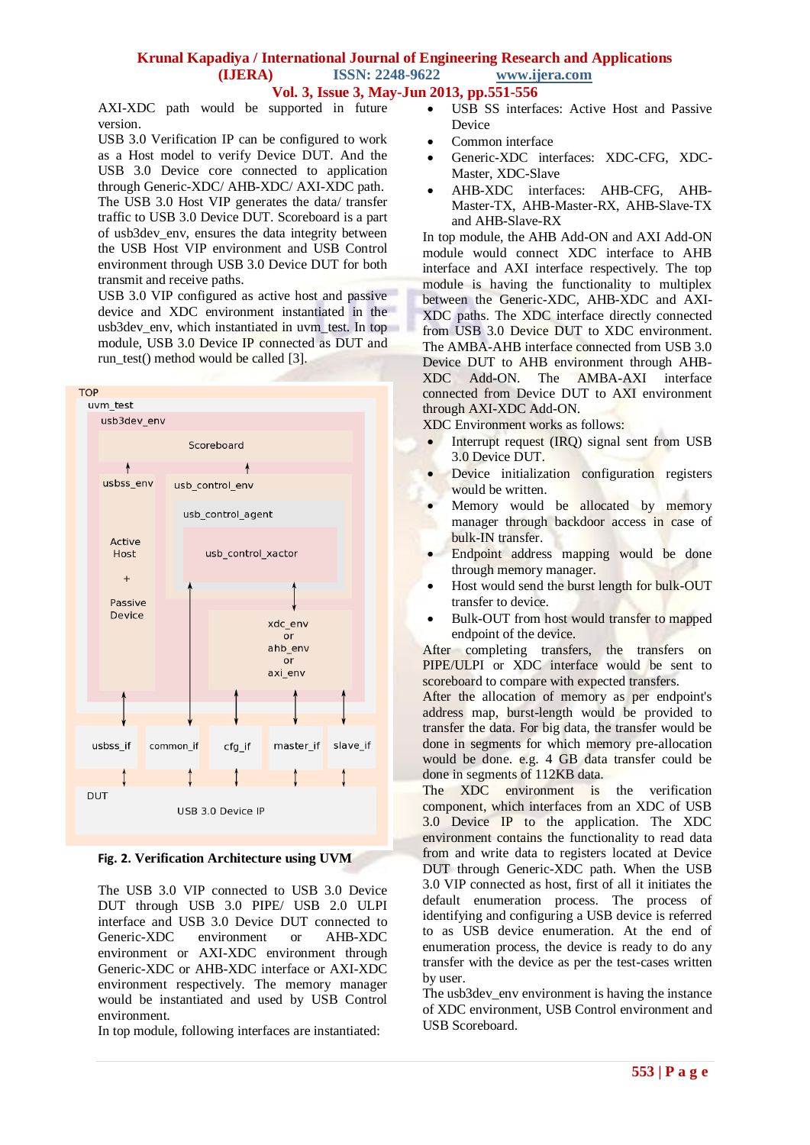### **Vol. 3, Issue 3, May-Jun 2013, pp.551-556**

AXI-XDC path would be supported in future version.

USB 3.0 Verification IP can be configured to work as a Host model to verify Device DUT. And the USB 3.0 Device core connected to application through Generic-XDC/ AHB-XDC/ AXI-XDC path. The USB 3.0 Host VIP generates the data/ transfer traffic to USB 3.0 Device DUT. Scoreboard is a part of usb3dev\_env, ensures the data integrity between the USB Host VIP environment and USB Control environment through USB 3.0 Device DUT for both transmit and receive paths.

USB 3.0 VIP configured as active host and passive device and XDC environment instantiated in the usb3dev env, which instantiated in uvm test. In top module, USB 3.0 Device IP connected as DUT and run\_test() method would be called [3].



#### **Fig. 2. Verification Architecture using UVM**

The USB 3.0 VIP connected to USB 3.0 Device DUT through USB 3.0 PIPE/ USB 2.0 ULPI interface and USB 3.0 Device DUT connected to Generic-XDC environment or AHB-XDC environment or AXI-XDC environment through Generic-XDC or AHB-XDC interface or AXI-XDC environment respectively. The memory manager would be instantiated and used by USB Control environment.

In top module, following interfaces are instantiated:

- USB SS interfaces: Active Host and Passive Device
- Common interface
- Generic-XDC interfaces: XDC-CFG, XDC-Master, XDC-Slave
- AHB-XDC interfaces: AHB-CFG, AHB-Master-TX, AHB-Master-RX, AHB-Slave-TX and AHB-Slave-RX

In top module, the AHB Add-ON and AXI Add-ON module would connect XDC interface to AHB interface and AXI interface respectively. The top module is having the functionality to multiplex between the Generic-XDC, AHB-XDC and AXI-XDC paths. The XDC interface directly connected from USB 3.0 Device DUT to XDC environment. The AMBA-AHB interface connected from USB 3.0 Device DUT to AHB environment through AHB-XDC Add-ON. The AMBA-AXI interface connected from Device DUT to AXI environment through AXI-XDC Add-ON.

XDC Environment works as follows:

- Interrupt request (IRQ) signal sent from USB 3.0 Device DUT.
- Device initialization configuration registers would be written.
- Memory would be allocated by memory manager through backdoor access in case of bulk-IN transfer.
- Endpoint address mapping would be done through memory manager.
- Host would send the burst length for bulk-OUT transfer to device.
- Bulk-OUT from host would transfer to mapped endpoint of the device.

After completing transfers, the transfers on PIPE/ULPI or XDC interface would be sent to scoreboard to compare with expected transfers.

After the allocation of memory as per endpoint's address map, burst-length would be provided to transfer the data. For big data, the transfer would be done in segments for which memory pre-allocation would be done. e.g. 4 GB data transfer could be done in segments of 112KB data.

The XDC environment is the verification component, which interfaces from an XDC of USB 3.0 Device IP to the application. The XDC environment contains the functionality to read data from and write data to registers located at Device DUT through Generic-XDC path. When the USB 3.0 VIP connected as host, first of all it initiates the default enumeration process. The process of identifying and configuring a USB device is referred to as USB device enumeration. At the end of enumeration process, the device is ready to do any transfer with the device as per the test-cases written by user.

The usb3dev\_env environment is having the instance of XDC environment, USB Control environment and USB Scoreboard.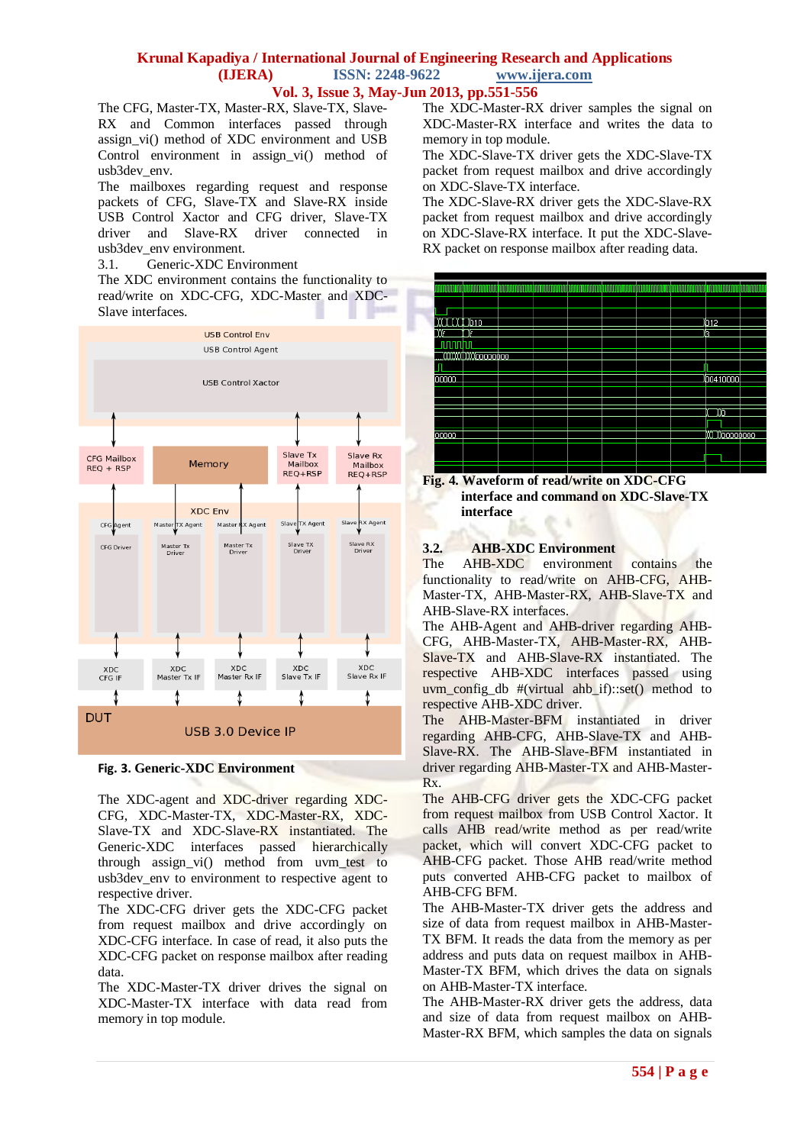### **Krunal Kapadiya / International Journal of Engineering Research and Applications (IJERA) ISSN: 2248-9622 www.ijera.com Vol. 3, Issue 3, May-Jun 2013, pp.551-556**

The CFG, Master-TX, Master-RX, Slave-TX, Slave-RX and Common interfaces passed through assign\_vi() method of XDC environment and USB Control environment in assign\_vi() method of usb3dev\_env.

The mailboxes regarding request and response packets of CFG, Slave-TX and Slave-RX inside USB Control Xactor and CFG driver, Slave-TX driver and Slave-RX driver connected in usb3dev\_env environment.

3.1. Generic-XDC Environment

The XDC environment contains the functionality to read/write on XDC-CFG, XDC-Master and XDC-Slave interfaces.



#### **Fig. 3. Generic-XDC Environment**

The XDC-agent and XDC-driver regarding XDC-CFG, XDC-Master-TX, XDC-Master-RX, XDC-Slave-TX and XDC-Slave-RX instantiated. The Generic-XDC interfaces passed hierarchically through assign\_vi() method from uvm\_test to usb3dev env to environment to respective agent to respective driver.

The XDC-CFG driver gets the XDC-CFG packet from request mailbox and drive accordingly on XDC-CFG interface. In case of read, it also puts the XDC-CFG packet on response mailbox after reading data.

The XDC-Master-TX driver drives the signal on XDC-Master-TX interface with data read from memory in top module.

The XDC-Master-RX driver samples the signal on XDC-Master-RX interface and writes the data to memory in top module.

The XDC-Slave-TX driver gets the XDC-Slave-TX packet from request mailbox and drive accordingly on XDC-Slave-TX interface.

The XDC-Slave-RX driver gets the XDC-Slave-RX packet from request mailbox and drive accordingly on XDC-Slave-RX interface. It put the XDC-Slave-RX packet on response mailbox after reading data.



**Fig. 4. Waveform of read/write on XDC-CFG interface and command on XDC-Slave-TX interface**

### **3.2. AHB-XDC Environment**

The AHB-XDC environment contains the functionality to read/write on AHB-CFG, AHB-Master-TX, AHB-Master-RX, AHB-Slave-TX and AHB-Slave-RX interfaces.

The AHB-Agent and AHB-driver regarding AHB-CFG, AHB-Master-TX, AHB-Master-RX, AHB-Slave-TX and AHB-Slave-RX instantiated. The respective AHB-XDC interfaces passed using uvm\_config\_db #(virtual ahb\_if)::set() method to respective AHB-XDC driver.

The AHB-Master-BFM instantiated in driver regarding AHB-CFG, AHB-Slave-TX and AHB-Slave-RX. The AHB-Slave-BFM instantiated in driver regarding AHB-Master-TX and AHB-Master-Rx.

The AHB-CFG driver gets the XDC-CFG packet from request mailbox from USB Control Xactor. It calls AHB read/write method as per read/write packet, which will convert XDC-CFG packet to AHB-CFG packet. Those AHB read/write method puts converted AHB-CFG packet to mailbox of AHB-CFG BFM.

The AHB-Master-TX driver gets the address and size of data from request mailbox in AHB-Master-TX BFM. It reads the data from the memory as per address and puts data on request mailbox in AHB-Master-TX BFM, which drives the data on signals on AHB-Master-TX interface.

The AHB-Master-RX driver gets the address, data and size of data from request mailbox on AHB-Master-RX BFM, which samples the data on signals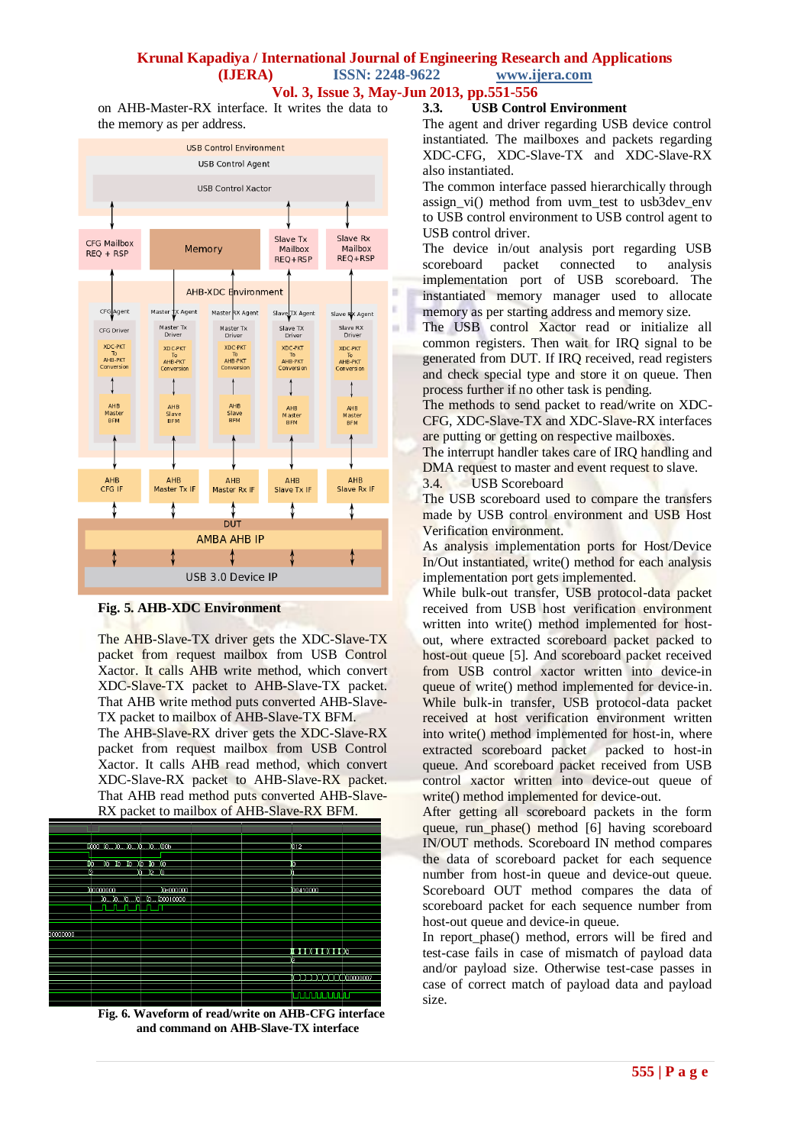**Vol. 3, Issue 3, May-Jun 2013, pp.551-556**

on AHB-Master-RX interface. It writes the data to the memory as per address.



**Fig. 5. AHB-XDC Environment**

The AHB-Slave-TX driver gets the XDC-Slave-TX packet from request mailbox from USB Control Xactor. It calls AHB write method, which convert XDC-Slave-TX packet to AHB-Slave-TX packet. That AHB write method puts converted AHB-Slave-TX packet to mailbox of AHB-Slave-TX BFM.

The AHB-Slave-RX driver gets the XDC-Slave-RX packet from request mailbox from USB Control Xactor. It calls AHB read method, which convert XDC-Slave-RX packet to AHB-Slave-RX packet. That AHB read method puts converted AHB-Slave-RX packet to mailbox of AHB-Slave-RX BFM.



**Fig. 6. Waveform of read/write on AHB-CFG interface and command on AHB-Slave-TX interface**

#### **3.3. USB Control Environment**

The agent and driver regarding USB device control instantiated. The mailboxes and packets regarding XDC-CFG, XDC-Slave-TX and XDC-Slave-RX also instantiated.

The common interface passed hierarchically through assign vi() method from uvm test to usb3dev env to USB control environment to USB control agent to USB control driver.

The device in/out analysis port regarding USB scoreboard packet connected to analysis scoreboard packet connected to analysis implementation port of USB scoreboard. The instantiated memory manager used to allocate memory as per starting address and memory size.

The USB control Xactor read or initialize all common registers. Then wait for IRQ signal to be generated from DUT. If IRQ received, read registers and check special type and store it on queue. Then process further if no other task is pending.

The methods to send packet to read/write on XDC-CFG, XDC-Slave-TX and XDC-Slave-RX interfaces are putting or getting on respective mailboxes.

The interrupt handler takes care of IRQ handling and DMA request to master and event request to slave.

3.4. USB Scoreboard

The USB scoreboard used to compare the transfers made by USB control environment and USB Host Verification environment.

As analysis implementation ports for Host/Device In/Out instantiated, write() method for each analysis implementation port gets implemented.

While bulk-out transfer, USB protocol-data packet received from USB host verification environment written into write() method implemented for hostout, where extracted scoreboard packet packed to host-out queue [5]. And scoreboard packet received from USB control xactor written into device-in queue of write() method implemented for device-in. While bulk-in transfer, USB protocol-data packet received at host verification environment written into write() method implemented for host-in, where extracted scoreboard packet packed to host-in queue. And scoreboard packet received from USB control xactor written into device-out queue of write() method implemented for device-out.

After getting all scoreboard packets in the form queue, run phase() method [6] having scoreboard IN/OUT methods. Scoreboard IN method compares the data of scoreboard packet for each sequence number from host-in queue and device-out queue. Scoreboard OUT method compares the data of scoreboard packet for each sequence number from host-out queue and device-in queue.

In report phase() method, errors will be fired and test-case fails in case of mismatch of payload data and/or payload size. Otherwise test-case passes in case of correct match of payload data and payload size.